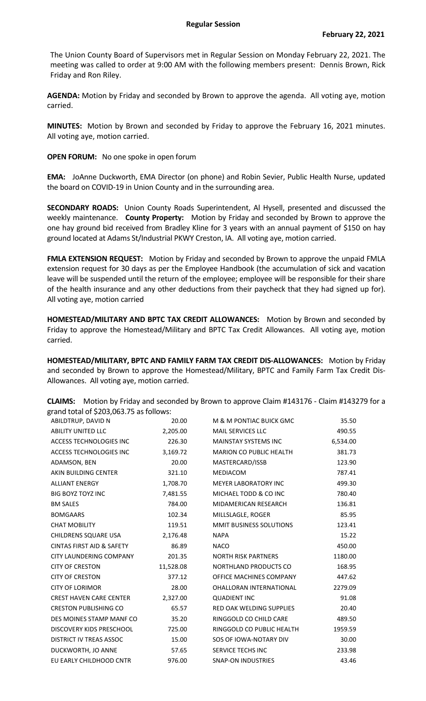The Union County Board of Supervisors met in Regular Session on Monday February 22, 2021. The meeting was called to order at 9:00 AM with the following members present: Dennis Brown, Rick Friday and Ron Riley.

**AGENDA:** Motion by Friday and seconded by Brown to approve the agenda. All voting aye, motion carried.

**MINUTES:** Motion by Brown and seconded by Friday to approve the February 16, 2021 minutes. All voting aye, motion carried.

**OPEN FORUM:** No one spoke in open forum

**EMA:** JoAnne Duckworth, EMA Director (on phone) and Robin Sevier, Public Health Nurse, updated the board on COVID-19 in Union County and in the surrounding area.

**SECONDARY ROADS:** Union County Roads Superintendent, Al Hysell, presented and discussed the weekly maintenance. **County Property:** Motion by Friday and seconded by Brown to approve the one hay ground bid received from Bradley Kline for 3 years with an annual payment of \$150 on hay ground located at Adams St/Industrial PKWY Creston, IA. All voting aye, motion carried.

**FMLA EXTENSION REQUEST:** Motion by Friday and seconded by Brown to approve the unpaid FMLA extension request for 30 days as per the Employee Handbook (the accumulation of sick and vacation leave will be suspended until the return of the employee; employee will be responsible for their share of the health insurance and any other deductions from their paycheck that they had signed up for). All voting aye, motion carried

**HOMESTEAD/MILITARY AND BPTC TAX CREDIT ALLOWANCES:** Motion by Brown and seconded by Friday to approve the Homestead/Military and BPTC Tax Credit Allowances. All voting aye, motion carried.

**HOMESTEAD/MILITARY, BPTC AND FAMILY FARM TAX CREDIT DIS-ALLOWANCES:** Motion by Friday and seconded by Brown to approve the Homestead/Military, BPTC and Family Farm Tax Credit Dis-Allowances. All voting aye, motion carried.

**CLAIMS:** Motion by Friday and seconded by Brown to approve Claim #143176 - Claim #143279 for a grand total of \$203,063.75 as follows:

| ABILDTRUP, DAVID N                   | 20.00     | M & M PONTIAC BUICK GMC         | 35.50    |
|--------------------------------------|-----------|---------------------------------|----------|
| <b>ABILITY UNITED LLC</b>            | 2,205.00  | <b>MAIL SERVICES LLC</b>        | 490.55   |
| ACCESS TECHNOLOGIES INC              | 226.30    | <b>MAINSTAY SYSTEMS INC</b>     | 6,534.00 |
| ACCESS TECHNOLOGIES INC              | 3,169.72  | <b>MARION CO PUBLIC HEALTH</b>  | 381.73   |
| ADAMSON, BEN                         | 20.00     | MASTERCARD/ISSB                 | 123.90   |
| AKIN BUILDING CENTER                 | 321.10    | MEDIACOM                        | 787.41   |
| <b>ALLIANT ENERGY</b>                | 1,708.70  | <b>MEYER LABORATORY INC</b>     | 499.30   |
| <b>BIG BOYZ TOYZ INC</b>             | 7,481.55  | MICHAEL TODD & CO INC           | 780.40   |
| <b>BM SALES</b>                      | 784.00    | MIDAMERICAN RESEARCH            | 136.81   |
| <b>BOMGAARS</b>                      | 102.34    | MILLSLAGLE, ROGER               | 85.95    |
| <b>CHAT MOBILITY</b>                 | 119.51    | MMIT BUSINESS SOLUTIONS         | 123.41   |
| CHILDRENS SQUARE USA                 | 2,176.48  | <b>NAPA</b>                     | 15.22    |
| <b>CINTAS FIRST AID &amp; SAFETY</b> | 86.89     | <b>NACO</b>                     | 450.00   |
| <b>CITY LAUNDERING COMPANY</b>       | 201.35    | <b>NORTH RISK PARTNERS</b>      | 1180.00  |
| <b>CITY OF CRESTON</b>               | 11,528.08 | NORTHLAND PRODUCTS CO           | 168.95   |
| <b>CITY OF CRESTON</b>               | 377.12    | OFFICE MACHINES COMPANY         | 447.62   |
| <b>CITY OF LORIMOR</b>               | 28.00     | <b>OHALLORAN INTERNATIONAL</b>  | 2279.09  |
| <b>CREST HAVEN CARE CENTER</b>       | 2,327.00  | <b>QUADIENT INC</b>             | 91.08    |
| <b>CRESTON PUBLISHING CO</b>         | 65.57     | <b>RED OAK WELDING SUPPLIES</b> | 20.40    |
| DES MOINES STAMP MANF CO             | 35.20     | RINGGOLD CO CHILD CARE          | 489.50   |
| DISCOVERY KIDS PRESCHOOL             | 725.00    | RINGGOLD CO PUBLIC HEALTH       | 1959.59  |
| <b>DISTRICT IV TREAS ASSOC</b>       | 15.00     | SOS OF IOWA-NOTARY DIV          | 30.00    |
| DUCKWORTH, JO ANNE                   | 57.65     | <b>SERVICE TECHS INC</b>        | 233.98   |
| EU EARLY CHILDHOOD CNTR              | 976.00    | <b>SNAP-ON INDUSTRIES</b>       | 43.46    |